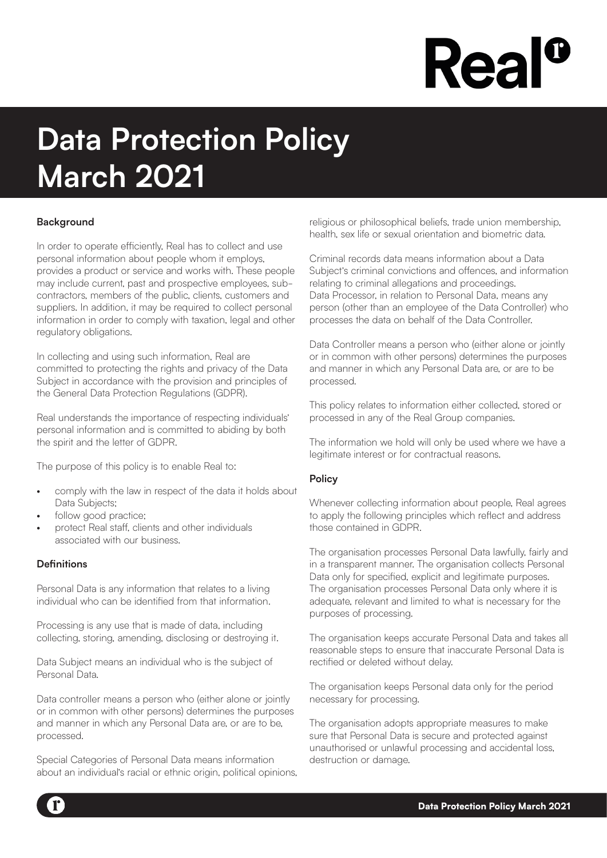# **Rea**

# **Data Protection Policy March 2021**

# **Background**

In order to operate efficiently, Real has to collect and use personal information about people whom it employs, provides a product or service and works with. These people may include current, past and prospective employees, subcontractors, members of the public, clients, customers and suppliers. In addition, it may be required to collect personal information in order to comply with taxation, legal and other regulatory obligations.

In collecting and using such information, Real are committed to protecting the rights and privacy of the Data Subject in accordance with the provision and principles of the General Data Protection Regulations (GDPR).

Real understands the importance of respecting individuals' personal information and is committed to abiding by both the spirit and the letter of GDPR.

The purpose of this policy is to enable Real to:

- comply with the law in respect of the data it holds about Data Subjects:
- follow good practice:
- protect Real staff, clients and other individuals associated with our business.

# **Definitions**

Personal Data is any information that relates to a living individual who can be identified from that information.

Processing is any use that is made of data, including collecting, storing, amending, disclosing or destroying it.

Data Subject means an individual who is the subject of Personal Data.

Data controller means a person who (either alone or jointly or in common with other persons) determines the purposes and manner in which any Personal Data are, or are to be, processed.

Special Categories of Personal Data means information about an individual's racial or ethnic origin, political opinions, religious or philosophical beliefs, trade union membership, health, sex life or sexual orientation and biometric data.

Criminal records data means information about a Data Subject's criminal convictions and offences, and information relating to criminal allegations and proceedings. Data Processor, in relation to Personal Data, means any person (other than an employee of the Data Controller) who processes the data on behalf of the Data Controller.

Data Controller means a person who (either alone or jointly or in common with other persons) determines the purposes and manner in which any Personal Data are, or are to be processed.

This policy relates to information either collected, stored or processed in any of the Real Group companies.

The information we hold will only be used where we have a legitimate interest or for contractual reasons.

# **Policy**

Whenever collecting information about people, Real agrees to apply the following principles which reflect and address those contained in GDPR.

The organisation processes Personal Data lawfully, fairly and in a transparent manner. The organisation collects Personal Data only for specified, explicit and legitimate purposes. The organisation processes Personal Data only where it is adequate, relevant and limited to what is necessary for the purposes of processing.

The organisation keeps accurate Personal Data and takes all reasonable steps to ensure that inaccurate Personal Data is rectified or deleted without delay.

The organisation keeps Personal data only for the period necessary for processing.

The organisation adopts appropriate measures to make sure that Personal Data is secure and protected against unauthorised or unlawful processing and accidental loss, destruction or damage.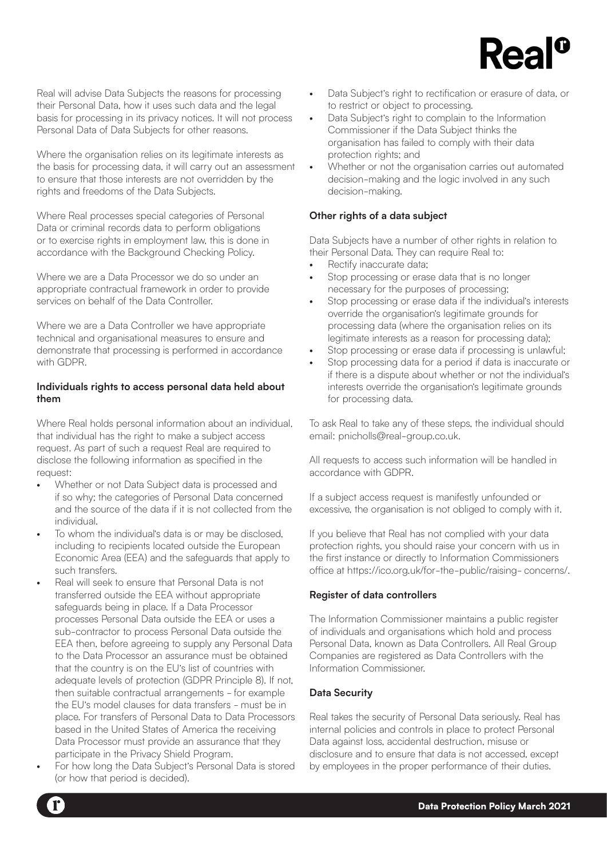

Real will advise Data Subjects the reasons for processing their Personal Data, how it uses such data and the legal basis for processing in its privacy notices. It will not process Personal Data of Data Subjects for other reasons.

Where the organisation relies on its legitimate interests as the basis for processing data, it will carry out an assessment to ensure that those interests are not overridden by the rights and freedoms of the Data Subjects.

Where Real processes special categories of Personal Data or criminal records data to perform obligations or to exercise rights in employment law, this is done in accordance with the Background Checking Policy.

Where we are a Data Processor we do so under an appropriate contractual framework in order to provide services on behalf of the Data Controller.

Where we are a Data Controller we have appropriate technical and organisational measures to ensure and demonstrate that processing is performed in accordance with GDPR.

# **Individuals rights to access personal data held about them**

Where Real holds personal information about an individual, that individual has the right to make a subject access request. As part of such a request Real are required to disclose the following information as specified in the request:

- Whether or not Data Subject data is processed and if so why; the categories of Personal Data concerned and the source of the data if it is not collected from the individual.
- To whom the individual's data is or may be disclosed, including to recipients located outside the European Economic Area (EEA) and the safeguards that apply to such transfers.
- Real will seek to ensure that Personal Data is not transferred outside the EEA without appropriate safeguards being in place. If a Data Processor processes Personal Data outside the EEA or uses a sub-contractor to process Personal Data outside the EEA then, before agreeing to supply any Personal Data to the Data Processor an assurance must be obtained that the country is on the EU's list of countries with adequate levels of protection (GDPR Principle 8). If not, then suitable contractual arrangements - for example the EU's model clauses for data transfers - must be in place. For transfers of Personal Data to Data Processors based in the United States of America the receiving Data Processor must provide an assurance that they participate in the Privacy Shield Program.
- For how long the Data Subject's Personal Data is stored (or how that period is decided).
- Data Subject's right to rectification or erasure of data, or to restrict or object to processing.
- Data Subject's right to complain to the Information Commissioner if the Data Subject thinks the organisation has failed to comply with their data protection rights; and
- Whether or not the organisation carries out automated decision-making and the logic involved in any such decision-making.

# **Other rights of a data subject**

Data Subjects have a number of other rights in relation to their Personal Data. They can require Real to:

- Rectify inaccurate data;
- Stop processing or erase data that is no longer necessary for the purposes of processing;
- Stop processing or erase data if the individual's interests override the organisation's legitimate grounds for processing data (where the organisation relies on its legitimate interests as a reason for processing data);
- Stop processing or erase data if processing is unlawful;
- Stop processing data for a period if data is inaccurate or if there is a dispute about whether or not the individual's interests override the organisation's legitimate grounds for processing data.

To ask Real to take any of these steps, the individual should email: pnicholls@real-group.co.uk.

All requests to access such information will be handled in accordance with GDPR.

If a subject access request is manifestly unfounded or excessive, the organisation is not obliged to comply with it.

If you believe that Real has not complied with your data protection rights, you should raise your concern with us in the first instance or directly to Information Commissioners office at https://ico.org.uk/for-the-public/raising- concerns/.

# **Register of data controllers**

The Information Commissioner maintains a public register of individuals and organisations which hold and process Personal Data, known as Data Controllers. All Real Group Companies are registered as Data Controllers with the Information Commissioner.

# **Data Security**

Real takes the security of Personal Data seriously. Real has internal policies and controls in place to protect Personal Data against loss, accidental destruction, misuse or disclosure and to ensure that data is not accessed, except by employees in the proper performance of their duties.